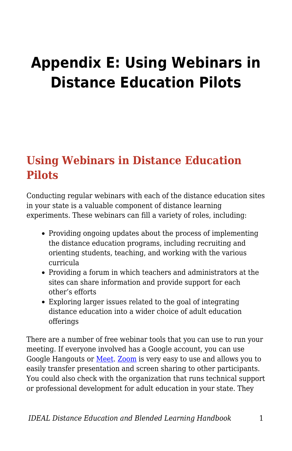# **Appendix E: Using Webinars in Distance Education Pilots**

## **Using Webinars in Distance Education Pilots**

Conducting regular webinars with each of the distance education sites in your state is a valuable component of distance learning experiments. These webinars can fill a variety of roles, including:

- Providing ongoing updates about the process of implementing the distance education programs, including recruiting and orienting students, teaching, and working with the various curricula
- Providing a forum in which teachers and administrators at the sites can share information and provide support for each other's efforts
- Exploring larger issues related to the goal of integrating distance education into a wider choice of adult education offerings

There are a number of free webinar tools that you can use to run your meeting. If everyone involved has a Google account, you can use Google Hangouts or [Meet.](https://apps.google.com/meet/?utm_source=google&utm_medium=cpc&utm_campaign=na-US-all-en-dr-bkws-all-all-trial-b-dr-1009156&utm_content=text-ad-none-any-DEV_c-CRE_435199693888-ADGP_Hybrid+%7C+AW+SEM+%7C+BKWS+~+BMM+//+Google+Meet+//+Google+Meet+Video+Meetings-KWID_43700054190243430-kwd-911815233255&utm_term=KW_%2Bmeetings%20%2Bgoogle-ST_%2Bmeetings+%2Bgoogle&gclid=EAIaIQobChMIz6XAxaqH6wIVBL7ACh2ZVQP0EAAYASAAEgInYvD_BwE&gclsrc=aw.ds) [Zoom](https://zoom.us/) is very easy to use and allows you to easily transfer presentation and screen sharing to other participants. You could also check with the organization that runs technical support or professional development for adult education in your state. They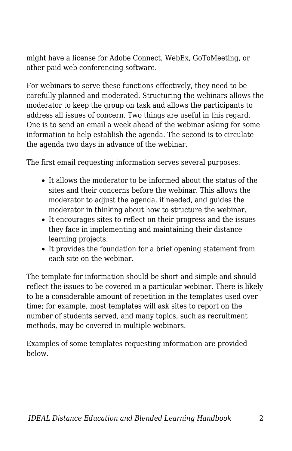might have a license for Adobe Connect, WebEx, GoToMeeting, or other paid web conferencing software.

For webinars to serve these functions effectively, they need to be carefully planned and moderated. Structuring the webinars allows the moderator to keep the group on task and allows the participants to address all issues of concern. Two things are useful in this regard. One is to send an email a week ahead of the webinar asking for some information to help establish the agenda. The second is to circulate the agenda two days in advance of the webinar.

The first email requesting information serves several purposes:

- It allows the moderator to be informed about the status of the sites and their concerns before the webinar. This allows the moderator to adjust the agenda, if needed, and guides the moderator in thinking about how to structure the webinar.
- It encourages sites to reflect on their progress and the issues they face in implementing and maintaining their distance learning projects.
- It provides the foundation for a brief opening statement from each site on the webinar.

The template for information should be short and simple and should reflect the issues to be covered in a particular webinar. There is likely to be a considerable amount of repetition in the templates used over time; for example, most templates will ask sites to report on the number of students served, and many topics, such as recruitment methods, may be covered in multiple webinars.

Examples of some templates requesting information are provided below.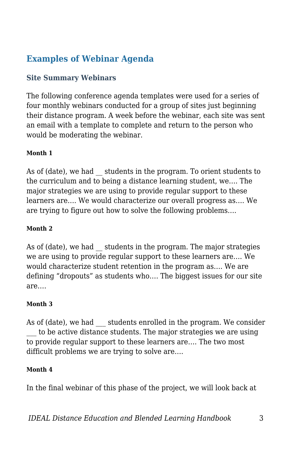### **Examples of Webinar Agenda**

### **Site Summary Webinars**

The following conference agenda templates were used for a series of four monthly webinars conducted for a group of sites just beginning their distance program. A week before the webinar, each site was sent an email with a template to complete and return to the person who would be moderating the webinar.

### **Month 1**

As of (date), we had students in the program. To orient students to the curriculum and to being a distance learning student, we…. The major strategies we are using to provide regular support to these learners are…. We would characterize our overall progress as…. We are trying to figure out how to solve the following problems….

### **Month 2**

As of (date), we had students in the program. The major strategies we are using to provide regular support to these learners are…. We would characterize student retention in the program as…. We are defining "dropouts" as students who…. The biggest issues for our site are….

#### **Month 3**

As of (date), we had a students enrolled in the program. We consider to be active distance students. The major strategies we are using to provide regular support to these learners are…. The two most difficult problems we are trying to solve are….

#### **Month 4**

In the final webinar of this phase of the project, we will look back at

*IDEAL Distance Education and Blended Learning Handbook* 3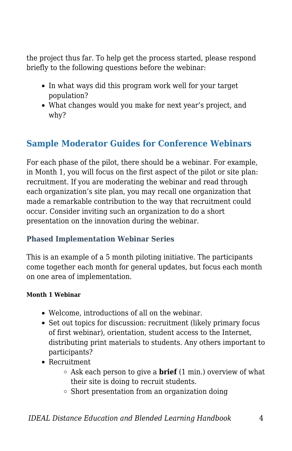the project thus far. To help get the process started, please respond briefly to the following questions before the webinar:

- In what ways did this program work well for your target population?
- What changes would you make for next year's project, and why?

### **Sample Moderator Guides for Conference Webinars**

For each phase of the pilot, there should be a webinar. For example, in Month 1, you will focus on the first aspect of the pilot or site plan: recruitment. If you are moderating the webinar and read through each organization's site plan, you may recall one organization that made a remarkable contribution to the way that recruitment could occur. Consider inviting such an organization to do a short presentation on the innovation during the webinar.

### **Phased Implementation Webinar Series**

This is an example of a 5 month piloting initiative. The participants come together each month for general updates, but focus each month on one area of implementation.

### **Month 1 Webinar**

- Welcome, introductions of all on the webinar.
- Set out topics for discussion: recruitment (likely primary focus of first webinar), orientation, student access to the Internet, distributing print materials to students. Any others important to participants?
- Recruitment
	- Ask each person to give a **brief** (1 min.) overview of what their site is doing to recruit students.
	- $\circ$  Short presentation from an organization doing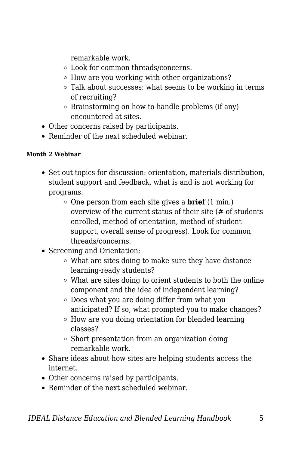remarkable work.

- Look for common threads/concerns.
- $\circ$  How are you working with other organizations?
- Talk about successes: what seems to be working in terms of recruiting?
- Brainstorming on how to handle problems (if any) encountered at sites.
- Other concerns raised by participants.
- Reminder of the next scheduled webinar.

### **Month 2 Webinar**

- Set out topics for discussion: orientation, materials distribution, student support and feedback, what is and is not working for programs.
	- One person from each site gives a **brief** (1 min.) overview of the current status of their site (# of students enrolled, method of orientation, method of student support, overall sense of progress). Look for common threads/concerns.
- Screening and Orientation:
	- What are sites doing to make sure they have distance learning-ready students?
	- What are sites doing to orient students to both the online component and the idea of independent learning?
	- Does what you are doing differ from what you anticipated? If so, what prompted you to make changes?
	- How are you doing orientation for blended learning classes?
	- $\circ$  Short presentation from an organization doing remarkable work.
- Share ideas about how sites are helping students access the internet.
- Other concerns raised by participants.
- Reminder of the next scheduled webinar.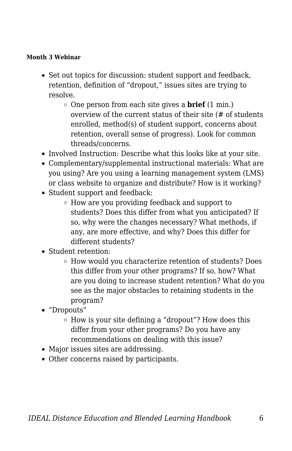### **Month 3 Webinar**

- Set out topics for discussion: student support and feedback, retention, definition of "dropout," issues sites are trying to resolve.
	- One person from each site gives a **brief** (1 min.) overview of the current status of their site (# of students enrolled, method(s) of student support, concerns about retention, overall sense of progress). Look for common threads/concerns.
- Involved Instruction: Describe what this looks like at your site.
- Complementary/supplemental instructional materials: What are you using? Are you using a learning management system (LMS) or class website to organize and distribute? How is it working?
- Student support and feedback:
	- How are you providing feedback and support to students? Does this differ from what you anticipated? If so, why were the changes necessary? What methods, if any, are more effective, and why? Does this differ for different students?
- Student retention:
	- How would you characterize retention of students? Does this differ from your other programs? If so, how? What are you doing to increase student retention? What do you see as the major obstacles to retaining students in the program?
- "Dropouts"
	- $\circ$  How is your site defining a "dropout"? How does this differ from your other programs? Do you have any recommendations on dealing with this issue?
- Major issues sites are addressing.
- Other concerns raised by participants.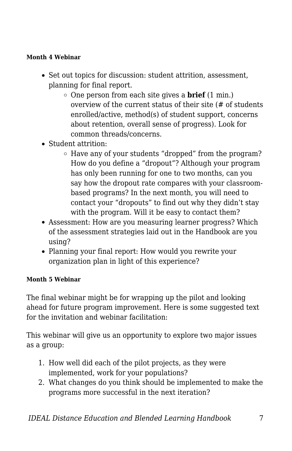### **Month 4 Webinar**

- Set out topics for discussion: student attrition, assessment, planning for final report.
	- One person from each site gives a **brief** (1 min.) overview of the current status of their site (# of students enrolled/active, method(s) of student support, concerns about retention, overall sense of progress). Look for common threads/concerns.
- Student attrition:
	- Have any of your students "dropped" from the program? How do you define a "dropout"? Although your program has only been running for one to two months, can you say how the dropout rate compares with your classroombased programs? In the next month, you will need to contact your "dropouts" to find out why they didn't stay with the program. Will it be easy to contact them?
- Assessment: How are you measuring learner progress? Which of the assessment strategies laid out in the Handbook are you using?
- Planning your final report: How would you rewrite your organization plan in light of this experience?

### **Month 5 Webinar**

The final webinar might be for wrapping up the pilot and looking ahead for future program improvement. Here is some suggested text for the invitation and webinar facilitation:

This webinar will give us an opportunity to explore two major issues as a group:

- 1. How well did each of the pilot projects, as they were implemented, work for your populations?
- 2. What changes do you think should be implemented to make the programs more successful in the next iteration?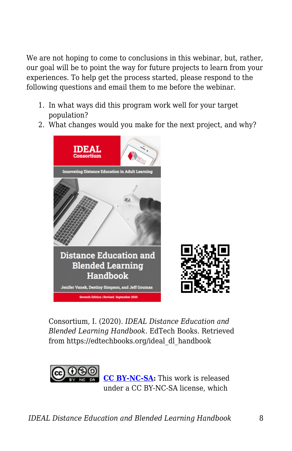We are not hoping to come to conclusions in this webinar, but, rather, our goal will be to point the way for future projects to learn from your experiences. To help get the process started, please respond to the following questions and email them to me before the webinar.

- 1. In what ways did this program work well for your target population?
- 2. What changes would you make for the next project, and why?



Consortium, I. (2020). *IDEAL Distance Education and Blended Learning Handbook*. EdTech Books. Retrieved from https://edtechbooks.org/ideal\_dl\_handbook